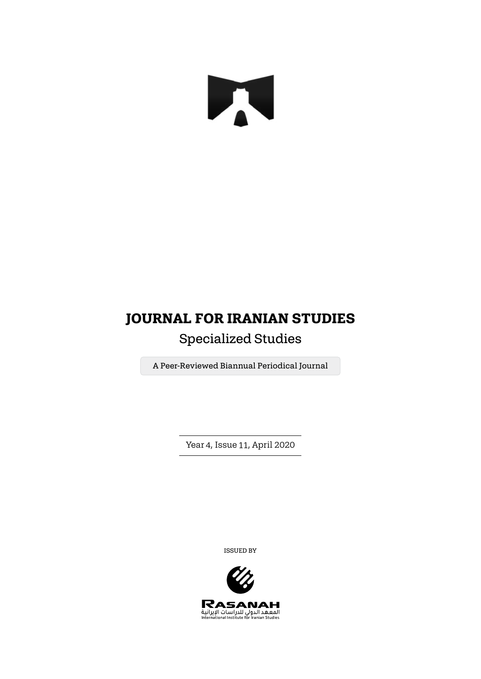# N

## **JOURNAL FOR IRANIAN STUDIES**

## Specialized Studies

A Peer-Reviewed Biannual Periodical Journal

Year 4, Issue 11, April 2020

ISSUED BY

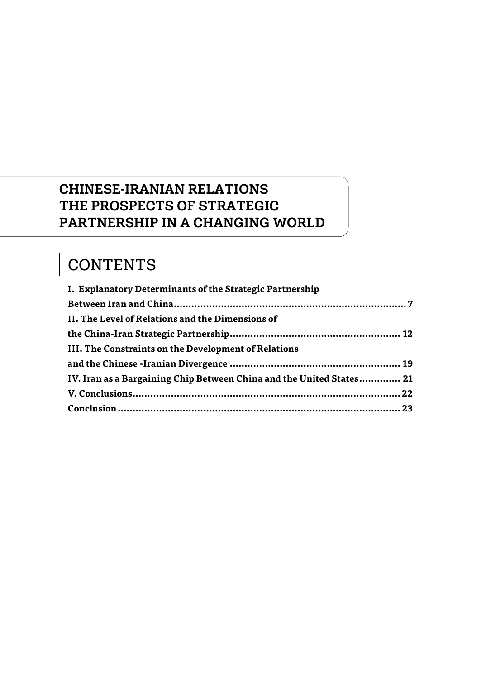## CHINESE-IRANIAN RELATIONS THE PROSPECTS OF STRATEGIC PARTNERSHIP IN A CHANGING WORLD

# CONTENTS

| I. Explanatory Determinants of the Strategic Partnership             |  |
|----------------------------------------------------------------------|--|
|                                                                      |  |
| II. The Level of Relations and the Dimensions of                     |  |
|                                                                      |  |
| III. The Constraints on the Development of Relations                 |  |
|                                                                      |  |
| IV. Iran as a Bargaining Chip Between China and the United States 21 |  |
|                                                                      |  |
|                                                                      |  |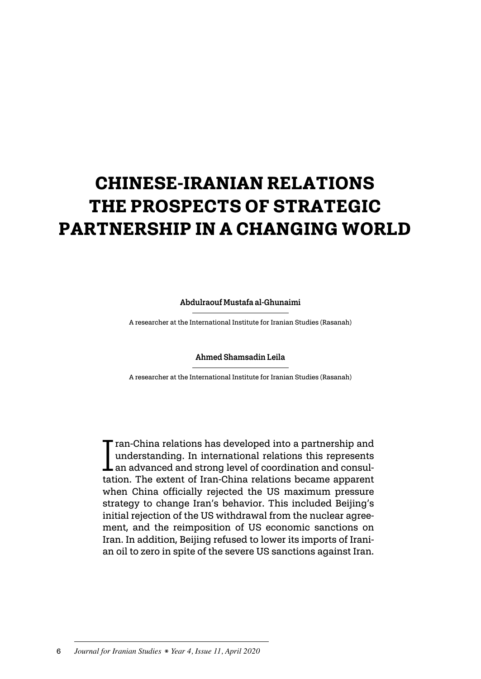# **CHINESE-IRANIAN RELATIONS THE PROSPECTS OF STRATEGIC PARTNERSHIP IN A CHANGING WORLD**

Abdulraouf Mustafa al-Ghunaimi

A researcher at the International Institute for Iranian Studies (Rasanah)

#### Ahmed Shamsadin Leila

A researcher at the International Institute for Iranian Studies (Rasanah)

 $\prod_{\text{tat}}$  $\blacksquare$  ran-China relations has developed into a partnership and understanding. In international relations this represents an advanced and strong level of coordination and consultation. The extent of Iran-China relations became apparent when China officially rejected the US maximum pressure strategy to change Iran's behavior. This included Beijing's initial rejection of the US withdrawal from the nuclear agreement, and the reimposition of US economic sanctions on Iran. In addition, Beijing refused to lower its imports of Iranian oil to zero in spite of the severe US sanctions against Iran.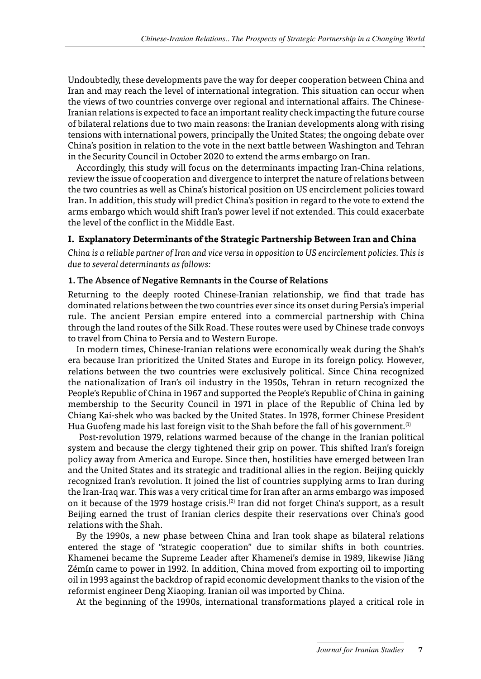<span id="page-3-0"></span>Undoubtedly, these developments pave the way for deeper cooperation between China and Iran and may reach the level of international integration. This situation can occur when the views of two countries converge over regional and international affairs. The Chinese-Iranian relations is expected to face an important reality check impacting the future course of bilateral relations due to two main reasons: the Iranian developments along with rising tensions with international powers, principally the United States; the ongoing debate over China's position in relation to the vote in the next battle between Washington and Tehran in the Security Council in October 2020 to extend the arms embargo on Iran.

Accordingly, this study will focus on the determinants impacting Iran-China relations, review the issue of cooperation and divergence to interpret the nature of relations between the two countries as well as China's historical position on US encirclement policies toward Iran. In addition, this study will predict China's position in regard to the vote to extend the arms embargo which would shift Iran's power level if not extended. This could exacerbate the level of the conflict in the Middle East.

#### **I. Explanatory Determinants of the Strategic Partnership Between Iran and China**

*China is a reliable partner of Iran and vice versa in opposition to US encirclement policies. This is due to several determinants as follows:*

#### 1. The Absence of Negative Remnants in the Course of Relations

Returning to the deeply rooted Chinese-Iranian relationship, we find that trade has dominated relations between the two countries ever since its onset during Persia's imperial rule. The ancient Persian empire entered into a commercial partnership with China through the land routes of the Silk Road. These routes were used by Chinese trade convoys to travel from China to Persia and to Western Europe.

In modern times, Chinese-Iranian relations were economically weak during the Shah's era because Iran prioritized the United States and Europe in its foreign policy. However, relations between the two countries were exclusively political. Since China recognized the nationalization of Iran's oil industry in the 1950s, Tehran in return recognized the People's Republic of China in 1967 and supported the People's Republic of China in gaining membership to the Security Council in 1971 in place of the Republic of China led by Chiang Kai-shek who was backed by the United States. In 1978, former Chinese President Hua Guofeng made his last foreign visit to the Shah before the fall of his government.<sup>(1)</sup>

 Post-revolution 1979, relations warmed because of the change in the Iranian political system and because the clergy tightened their grip on power. This shifted Iran's foreign policy away from America and Europe. Since then, hostilities have emerged between Iran and the United States and its strategic and traditional allies in the region. Beijing quickly recognized Iran's revolution. It joined the list of countries supplying arms to Iran during the Iran-Iraq war. This was a very critical time for Iran after an arms embargo was imposed on it because of the 1979 hostage crisis.(2) Iran did not forget China's support, as a result Beijing earned the trust of Iranian clerics despite their reservations over China's good relations with the Shah.

By the 1990s, a new phase between China and Iran took shape as bilateral relations entered the stage of "strategic cooperation" due to similar shifts in both countries. Khamenei became the Supreme Leader after Khamenei's demise in 1989, likewise Jiāng Zémín came to power in 1992. In addition, China moved from exporting oil to importing oil in 1993 against the backdrop of rapid economic development thanks to the vision of the reformist engineer Deng Xiaoping. Iranian oil was imported by China.

At the beginning of the 1990s, international transformations played a critical role in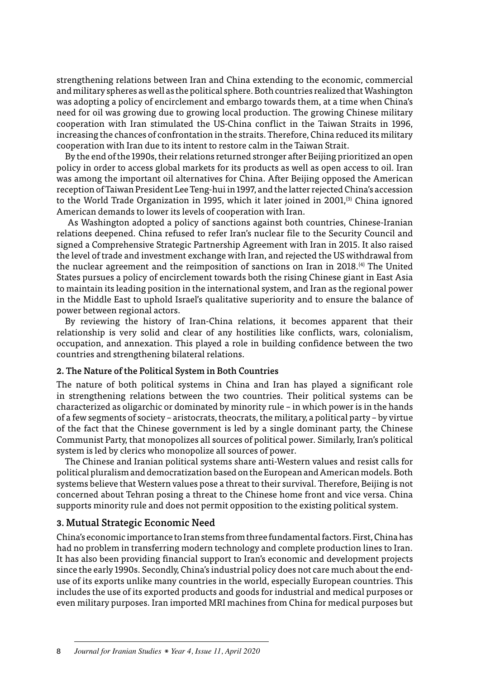strengthening relations between Iran and China extending to the economic, commercial and military spheres as well as the political sphere. Both countries realized that Washington was adopting a policy of encirclement and embargo towards them, at a time when China's need for oil was growing due to growing local production. The growing Chinese military cooperation with Iran stimulated the US-China conflict in the Taiwan Straits in 1996, increasing the chances of confrontation in the straits. Therefore, China reduced its military cooperation with Iran due to its intent to restore calm in the Taiwan Strait.

By the end of the 1990s, their relations returned stronger after Beijing prioritized an open policy in order to access global markets for its products as well as open access to oil. Iran was among the important oil alternatives for China. After Beijing opposed the American reception of Taiwan President Lee Teng-hui in 1997, and the latter rejected China's accession to the World Trade Organization in 1995, which it later joined in 2001,<sup>(3)</sup> China ignored American demands to lower its levels of cooperation with Iran.

 As Washington adopted a policy of sanctions against both countries, Chinese-Iranian relations deepened. China refused to refer Iran's nuclear file to the Security Council and signed a Comprehensive Strategic Partnership Agreement with Iran in 2015. It also raised the level of trade and investment exchange with Iran, and rejected the US withdrawal from the nuclear agreement and the reimposition of sanctions on Iran in 2018.(4) The United States pursues a policy of encirclement towards both the rising Chinese giant in East Asia to maintain its leading position in the international system, and Iran as the regional power in the Middle East to uphold Israel's qualitative superiority and to ensure the balance of power between regional actors.

By reviewing the history of Iran-China relations, it becomes apparent that their relationship is very solid and clear of any hostilities like conflicts, wars, colonialism, occupation, and annexation. This played a role in building confidence between the two countries and strengthening bilateral relations.

#### 2. The Nature of the Political System in Both Countries

The nature of both political systems in China and Iran has played a significant role in strengthening relations between the two countries. Their political systems can be characterized as oligarchic or dominated by minority rule – in which power is in the hands of a few segments of society – aristocrats, theocrats, the military, a political party – by virtue of the fact that the Chinese government is led by a single dominant party, the Chinese Communist Party, that monopolizes all sources of political power. Similarly, Iran's political system is led by clerics who monopolize all sources of power.

The Chinese and Iranian political systems share anti-Western values and resist calls for political pluralism and democratization based on the European and American models. Both systems believe that Western values pose a threat to their survival. Therefore, Beijing is not concerned about Tehran posing a threat to the Chinese home front and vice versa. China supports minority rule and does not permit opposition to the existing political system.

#### 3. Mutual Strategic Economic Need

China's economic importance to Iran stems from three fundamental factors. First, China has had no problem in transferring modern technology and complete production lines to Iran. It has also been providing financial support to Iran's economic and development projects since the early 1990s. Secondly, China's industrial policy does not care much about the enduse of its exports unlike many countries in the world, especially European countries. This includes the use of its exported products and goods for industrial and medical purposes or even military purposes. Iran imported MRI machines from China for medical purposes but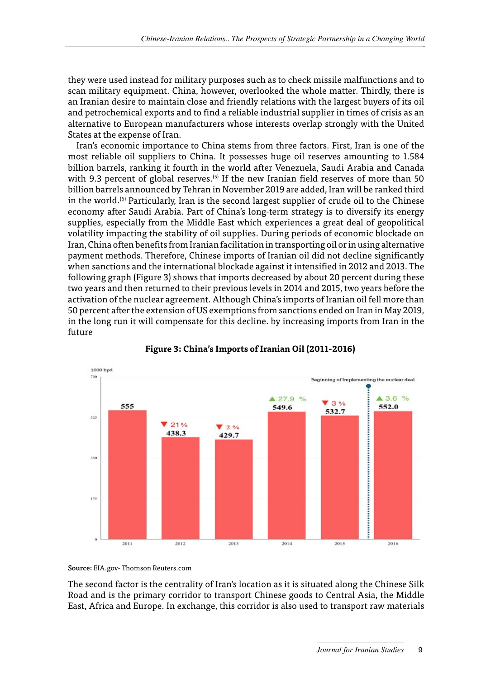they were used instead for military purposes such as to check missile malfunctions and to scan military equipment. China, however, overlooked the whole matter. Thirdly, there is an Iranian desire to maintain close and friendly relations with the largest buyers of its oil and petrochemical exports and to find a reliable industrial supplier in times of crisis as an alternative to European manufacturers whose interests overlap strongly with the United States at the expense of Iran.

Iran's economic importance to China stems from three factors. First, Iran is one of the most reliable oil suppliers to China. It possesses huge oil reserves amounting to 1.584 billion barrels, ranking it fourth in the world after Venezuela, Saudi Arabia and Canada with 9.3 percent of global reserves.<sup> $(5)$ </sup> If the new Iranian field reserves of more than 50 billion barrels announced by Tehran in November 2019 are added, Iran will be ranked third in the world.<sup> $(6)$ </sup> Particularly. Iran is the second largest supplier of crude oil to the Chinese economy after Saudi Arabia. Part of China's long-term strategy is to diversify its energy supplies, especially from the Middle East which experiences a great deal of geopolitical volatility impacting the stability of oil supplies. During periods of economic blockade on Iran, China often benefits from Iranian facilitation in transporting oil or in using alternative payment methods. Therefore, Chinese imports of Iranian oil did not decline significantly when sanctions and the international blockade against it intensified in 2012 and 2013. The following graph (Figure 3) shows that imports decreased by about 20 percent during these two years and then returned to their previous levels in 2014 and 2015, two years before the activation of the nuclear agreement. Although China's imports of Iranian oil fell more than 50 percent after the extension of US exemptions from sanctions ended on Iran in May 2019, in the long run it will compensate for this decline. by increasing imports from Iran in the future





Source: EIA.gov- Thomson Reuters.com

The second factor is the centrality of Iran's location as it is situated along the Chinese Silk Road and is the primary corridor to transport Chinese goods to Central Asia, the Middle East, Africa and Europe. In exchange, this corridor is also used to transport raw materials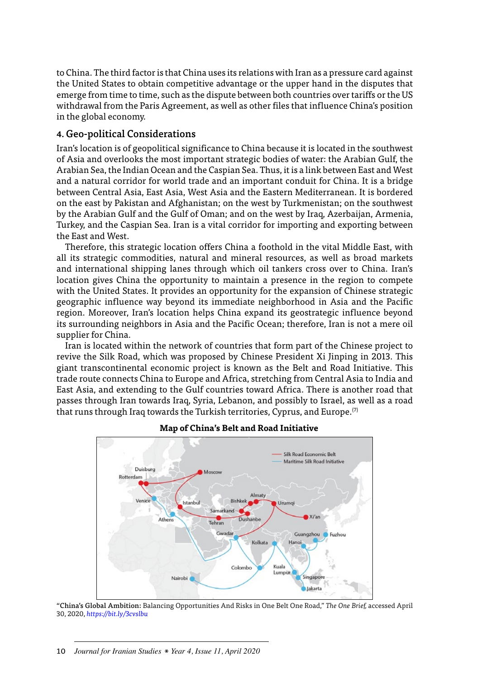to China. The third factor is that China uses its relations with Iran as a pressure card against the United States to obtain competitive advantage or the upper hand in the disputes that emerge from time to time, such as the dispute between both countries over tariffs or the US withdrawal from the Paris Agreement, as well as other files that influence China's position in the global economy.

#### 4. Geo-political Considerations

Iran's location is of geopolitical significance to China because it is located in the southwest of Asia and overlooks the most important strategic bodies of water: the Arabian Gulf, the Arabian Sea, the Indian Ocean and the Caspian Sea. Thus, it is a link between East and West and a natural corridor for world trade and an important conduit for China. It is a bridge between Central Asia, East Asia, West Asia and the Eastern Mediterranean. It is bordered on the east by Pakistan and Afghanistan; on the west by Turkmenistan; on the southwest by the Arabian Gulf and the Gulf of Oman; and on the west by Iraq, Azerbaijan, Armenia, Turkey, and the Caspian Sea. Iran is a vital corridor for importing and exporting between the East and West.

Therefore, this strategic location offers China a foothold in the vital Middle East, with all its strategic commodities, natural and mineral resources, as well as broad markets and international shipping lanes through which oil tankers cross over to China. Iran's location gives China the opportunity to maintain a presence in the region to compete with the United States. It provides an opportunity for the expansion of Chinese strategic geographic influence way beyond its immediate neighborhood in Asia and the Pacific region. Moreover, Iran's location helps China expand its geostrategic influence beyond its surrounding neighbors in Asia and the Pacific Ocean; therefore, Iran is not a mere oil supplier for China.

Iran is located within the network of countries that form part of the Chinese project to revive the Silk Road, which was proposed by Chinese President Xi Jinping in 2013. This giant transcontinental economic project is known as the Belt and Road Initiative. This trade route connects China to Europe and Africa, stretching from Central Asia to India and East Asia, and extending to the Gulf countries toward Africa. There is another road that passes through Iran towards Iraq, Syria, Lebanon, and possibly to Israel, as well as a road that runs through Iraq towards the Turkish territories, Cyprus, and Europe.<sup>(7)</sup>



#### **Map of China's Belt and Road Initiative**

"China's Global Ambition: Balancing Opportunities And Risks in One Belt One Road," *The One Brief,* accessed April 30, 2020, *https://bit.ly/3cvslbu*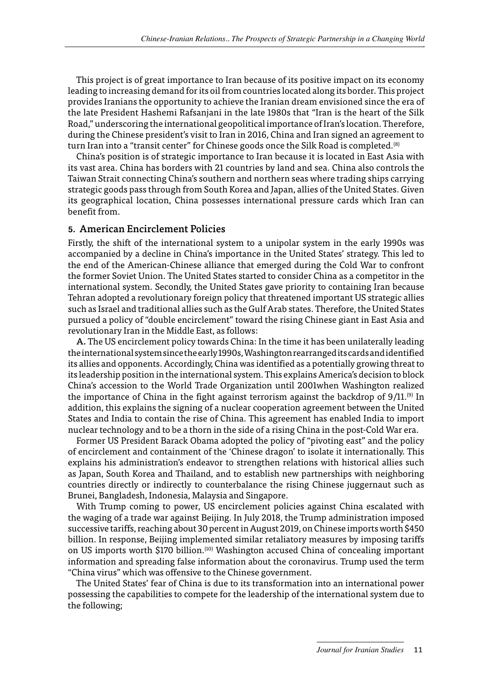This project is of great importance to Iran because of its positive impact on its economy leading to increasing demand for its oil from countries located along its border. This project provides Iranians the opportunity to achieve the Iranian dream envisioned since the era of the late President Hashemi Rafsanjani in the late 1980s that "Iran is the heart of the Silk Road," underscoring the international geopolitical importance of Iran's location. Therefore, during the Chinese president's visit to Iran in 2016, China and Iran signed an agreement to turn Iran into a "transit center" for Chinese goods once the Silk Road is completed.<sup>(8)</sup>

China's position is of strategic importance to Iran because it is located in East Asia with its vast area. China has borders with 21 countries by land and sea. China also controls the Taiwan Strait connecting China's southern and northern seas where trading ships carrying strategic goods pass through from South Korea and Japan, allies of the United States. Given its geographical location, China possesses international pressure cards which Iran can benefit from.

#### 5. American Encirclement Policies

Firstly, the shift of the international system to a unipolar system in the early 1990s was accompanied by a decline in China's importance in the United States' strategy. This led to the end of the American-Chinese alliance that emerged during the Cold War to confront the former Soviet Union. The United States started to consider China as a competitor in the international system. Secondly, the United States gave priority to containing Iran because Tehran adopted a revolutionary foreign policy that threatened important US strategic allies such as Israel and traditional allies such as the Gulf Arab states. Therefore, the United States pursued a policy of "double encirclement" toward the rising Chinese giant in East Asia and revolutionary Iran in the Middle East, as follows:

A. The US encirclement policy towards China: In the time it has been unilaterally leading the international system since the early 1990s, Washington rearranged its cards and identified its allies and opponents. Accordingly, China was identified as a potentially growing threat to its leadership position in the international system. This explains America's decision to block China's accession to the World Trade Organization until 2001when Washington realized the importance of China in the fight against terrorism against the backdrop of  $9/11$ .<sup>(9)</sup> In addition, this explains the signing of a nuclear cooperation agreement between the United States and India to contain the rise of China. This agreement has enabled India to import nuclear technology and to be a thorn in the side of a rising China in the post-Cold War era.

Former US President Barack Obama adopted the policy of "pivoting east" and the policy of encirclement and containment of the 'Chinese dragon' to isolate it internationally. This explains his administration's endeavor to strengthen relations with historical allies such as Japan, South Korea and Thailand, and to establish new partnerships with neighboring countries directly or indirectly to counterbalance the rising Chinese juggernaut such as Brunei, Bangladesh, Indonesia, Malaysia and Singapore.

With Trump coming to power, US encirclement policies against China escalated with the waging of a trade war against Beijing. In July 2018, the Trump administration imposed successive tariffs, reaching about 30 percent in August 2019, on Chinese imports worth \$450 billion. In response, Beijing implemented similar retaliatory measures by imposing tariffs on US imports worth \$170 billion.<sup>(10)</sup> Washington accused China of concealing important information and spreading false information about the coronavirus. Trump used the term "China virus" which was offensive to the Chinese government.

The United States' fear of China is due to its transformation into an international power possessing the capabilities to compete for the leadership of the international system due to the following;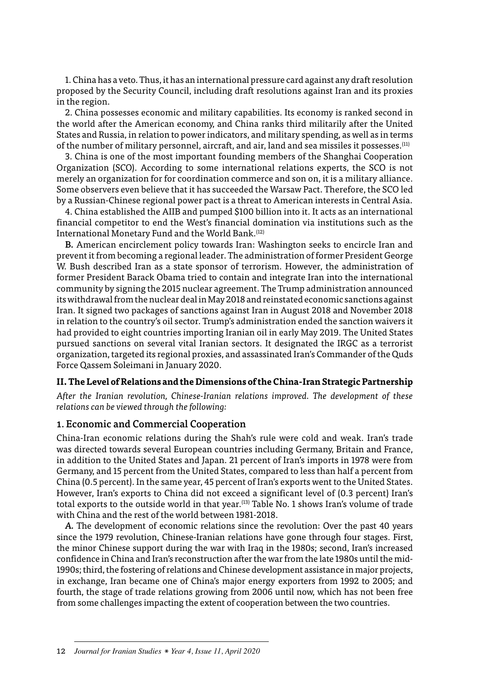<span id="page-8-0"></span>1. China has a veto. Thus, it has an international pressure card against any draft resolution proposed by the Security Council, including draft resolutions against Iran and its proxies in the region.

2. China possesses economic and military capabilities. Its economy is ranked second in the world after the American economy, and China ranks third militarily after the United States and Russia, in relation to power indicators, and military spending, as well as in terms of the number of military personnel, aircraft, and air, land and sea missiles it possesses.(11)

3. China is one of the most important founding members of the Shanghai Cooperation Organization (SCO). According to some international relations experts, the SCO is not merely an organization for for coordination commerce and son on, it is a military alliance. Some observers even believe that it has succeeded the Warsaw Pact. Therefore, the SCO led by a Russian-Chinese regional power pact is a threat to American interests in Central Asia.

4. China established the AIIB and pumped \$100 billion into it. It acts as an international financial competitor to end the West's financial domination via institutions such as the International Monetary Fund and the World Bank.<sup>(12)</sup>

B. American encirclement policy towards Iran: Washington seeks to encircle Iran and prevent it from becoming a regional leader. The administration of former President George W. Bush described Iran as a state sponsor of terrorism. However, the administration of former President Barack Obama tried to contain and integrate Iran into the international community by signing the 2015 nuclear agreement. The Trump administration announced its withdrawal from the nuclear deal in May 2018 and reinstated economic sanctions against Iran. It signed two packages of sanctions against Iran in August 2018 and November 2018 in relation to the country's oil sector. Trump's administration ended the sanction waivers it had provided to eight countries importing Iranian oil in early May 2019. The United States pursued sanctions on several vital Iranian sectors. It designated the IRGC as a terrorist organization, targeted its regional proxies, and assassinated Iran's Commander of the Quds Force Qassem Soleimani in January 2020.

#### **II. The Level of Relations and the Dimensions of the China-Iran Strategic Partnership**

*After the Iranian revolution, Chinese-Iranian relations improved. The development of these relations can be viewed through the following:*

#### 1. Economic and Commercial Cooperation

China-Iran economic relations during the Shah's rule were cold and weak. Iran's trade was directed towards several European countries including Germany, Britain and France, in addition to the United States and Japan. 21 percent of Iran's imports in 1978 were from Germany, and 15 percent from the United States, compared to less than half a percent from China (0.5 percent). In the same year, 45 percent of Iran's exports went to the United States. However, Iran's exports to China did not exceed a significant level of (0.3 percent) Iran's total exports to the outside world in that year.(13) Table No. 1 shows Iran's volume of trade with China and the rest of the world between 1981-2018.

*A.* The development of economic relations since the revolution: Over the past 40 years since the 1979 revolution, Chinese-Iranian relations have gone through four stages. First, the minor Chinese support during the war with Iraq in the 1980s; second, Iran's increased confidence in China and Iran's reconstruction after the war from the late 1980s until the mid-1990s; third, the fostering of relations and Chinese development assistance in major projects, in exchange, Iran became one of China's major energy exporters from 1992 to 2005; and fourth, the stage of trade relations growing from 2006 until now, which has not been free from some challenges impacting the extent of cooperation between the two countries.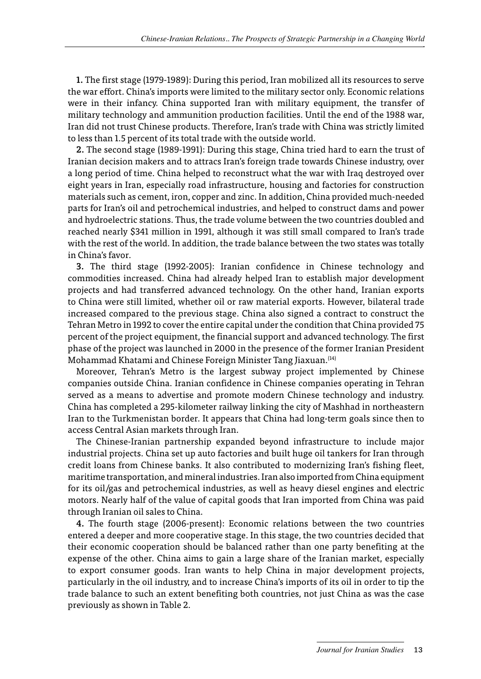1. The first stage (1979-1989): During this period, Iran mobilized all its resources to serve the war effort. China's imports were limited to the military sector only. Economic relations were in their infancy. China supported Iran with military equipment, the transfer of military technology and ammunition production facilities. Until the end of the 1988 war, Iran did not trust Chinese products. Therefore, Iran's trade with China was strictly limited to less than 1.5 percent of its total trade with the outside world.

2. The second stage (1989-1991): During this stage, China tried hard to earn the trust of Iranian decision makers and to attracs Iran's foreign trade towards Chinese industry, over a long period of time. China helped to reconstruct what the war with Iraq destroyed over eight years in Iran, especially road infrastructure, housing and factories for construction materials such as cement, iron, copper and zinc. In addition, China provided much-needed parts for Iran's oil and petrochemical industries, and helped to construct dams and power and hydroelectric stations. Thus, the trade volume between the two countries doubled and reached nearly \$341 million in 1991, although it was still small compared to Iran's trade with the rest of the world. In addition, the trade balance between the two states was totally in China's favor.

3. The third stage (1992-2005): Iranian confidence in Chinese technology and commodities increased. China had already helped Iran to establish major development projects and had transferred advanced technology. On the other hand, Iranian exports to China were still limited, whether oil or raw material exports. However, bilateral trade increased compared to the previous stage. China also signed a contract to construct the Tehran Metro in 1992 to cover the entire capital under the condition that China provided 75 percent of the project equipment, the financial support and advanced technology. The first phase of the project was launched in 2000 in the presence of the former Iranian President Mohammad Khatami and Chinese Foreign Minister Tang Jiaxuan.(14)

Moreover, Tehran's Metro is the largest subway project implemented by Chinese companies outside China. Iranian confidence in Chinese companies operating in Tehran served as a means to advertise and promote modern Chinese technology and industry. China has completed a 295-kilometer railway linking the city of Mashhad in northeastern Iran to the Turkmenistan border. It appears that China had long-term goals since then to access Central Asian markets through Iran.

The Chinese-Iranian partnership expanded beyond infrastructure to include major industrial projects. China set up auto factories and built huge oil tankers for Iran through credit loans from Chinese banks. It also contributed to modernizing Iran's fishing fleet, maritime transportation, and mineral industries. Iran also imported from China equipment for its oil/gas and petrochemical industries, as well as heavy diesel engines and electric motors. Nearly half of the value of capital goods that Iran imported from China was paid through Iranian oil sales to China.

4. The fourth stage (2006-present): Economic relations between the two countries entered a deeper and more cooperative stage. In this stage, the two countries decided that their economic cooperation should be balanced rather than one party benefiting at the expense of the other. China aims to gain a large share of the Iranian market, especially to export consumer goods. Iran wants to help China in major development projects, particularly in the oil industry, and to increase China's imports of its oil in order to tip the trade balance to such an extent benefiting both countries, not just China as was the case previously as shown in Table 2.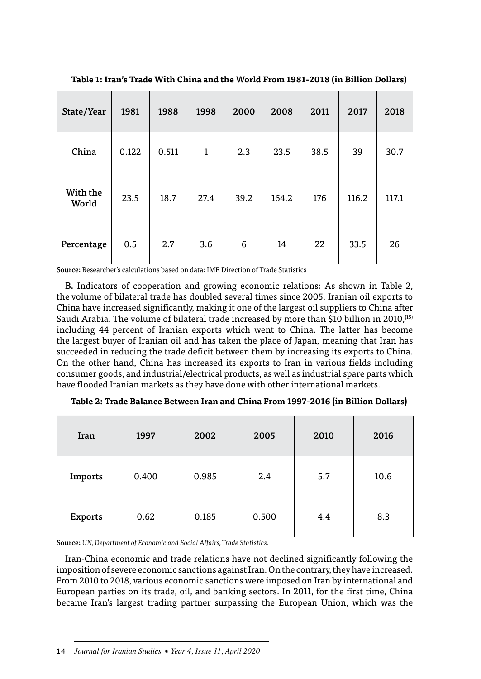| State/Year        | 1981  | 1988  | 1998         | 2000 | 2008  | 2011 | 2017  | 2018  |
|-------------------|-------|-------|--------------|------|-------|------|-------|-------|
| China             | 0.122 | 0.511 | $\mathbf{1}$ | 2.3  | 23.5  | 38.5 | 39    | 30.7  |
| With the<br>World | 23.5  | 18.7  | 27.4         | 39.2 | 164.2 | 176  | 116.2 | 117.1 |
| Percentage        | 0.5   | 2.7   | 3.6          | 6    | 14    | 22   | 33.5  | 26    |

**Table 1: Iran's Trade With China and the World From 1981-2018 (in Billion Dollars)** 

Source: Researcher's calculations based on data: IMF, Direction of Trade Statistics

B. Indicators of cooperation and growing economic relations: As shown in Table 2, the volume of bilateral trade has doubled several times since 2005. Iranian oil exports to China have increased significantly, making it one of the largest oil suppliers to China after Saudi Arabia. The volume of bilateral trade increased by more than \$10 billion in 2010,(15) including 44 percent of Iranian exports which went to China. The latter has become the largest buyer of Iranian oil and has taken the place of Japan, meaning that Iran has succeeded in reducing the trade deficit between them by increasing its exports to China. On the other hand, China has increased its exports to Iran in various fields including consumer goods, and industrial/electrical products, as well as industrial spare parts which have flooded Iranian markets as they have done with other international markets.

| Iran    | 1997  | 2002  | 2005  | 2010 | 2016 |
|---------|-------|-------|-------|------|------|
| Imports | 0.400 | 0.985 | 2.4   | 5.7  | 10.6 |
| Exports | 0.62  | 0.185 | 0.500 | 4.4  | 8.3  |

**Table 2: Trade Balance Between Iran and China From 1997-2016 (in Billion Dollars)**

Source: *UN, Department of Economic and Social Affairs, Trade Statistics.*

Iran-China economic and trade relations have not declined significantly following the imposition of severe economic sanctions against Iran. On the contrary, they have increased. From 2010 to 2018, various economic sanctions were imposed on Iran by international and European parties on its trade, oil, and banking sectors. In 2011, for the first time, China became Iran's largest trading partner surpassing the European Union, which was the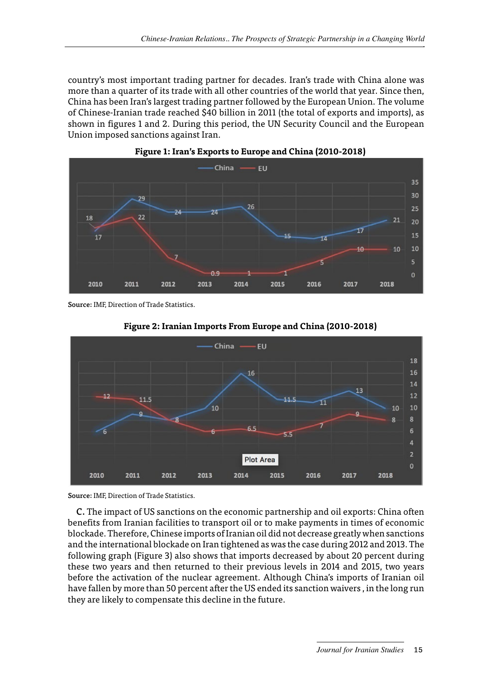country's most important trading partner for decades. Iran's trade with China alone was more than a quarter of its trade with all other countries of the world that year. Since then, China has been Iran's largest trading partner followed by the European Union. The volume of Chinese-Iranian trade reached \$40 billion in 2011 (the total of exports and imports), as shown in figures 1 and 2. During this period, the UN Security Council and the European Union imposed sanctions against Iran.





Source: IMF, Direction of Trade Statistics.





Source: IMF, Direction of Trade Statistics.

C. The impact of US sanctions on the economic partnership and oil exports: China often benefits from Iranian facilities to transport oil or to make payments in times of economic blockade. Therefore, Chinese imports of Iranian oil did not decrease greatly when sanctions and the international blockade on Iran tightened as was the case during 2012 and 2013. The following graph (Figure 3) also shows that imports decreased by about 20 percent during these two years and then returned to their previous levels in 2014 and 2015, two years before the activation of the nuclear agreement. Although China's imports of Iranian oil have fallen by more than 50 percent after the US ended its sanction waivers , in the long run they are likely to compensate this decline in the future.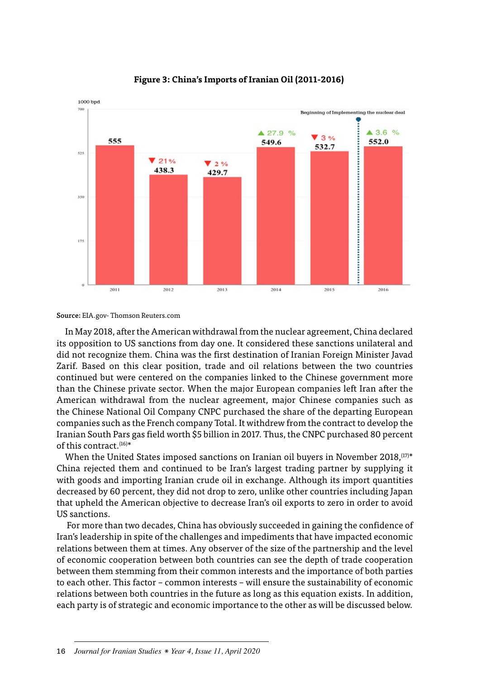

#### **Figure 3: China's Imports of Iranian Oil (2011-2016)**

Source: EIA.gov- Thomson Reuters.com

In May 2018, after the American withdrawal from the nuclear agreement, China declared its opposition to US sanctions from day one. It considered these sanctions unilateral and did not recognize them. China was the first destination of Iranian Foreign Minister Javad Zarif. Based on this clear position, trade and oil relations between the two countries continued but were centered on the companies linked to the Chinese government more than the Chinese private sector. When the major European companies left Iran after the American withdrawal from the nuclear agreement, major Chinese companies such as the Chinese National Oil Company CNPC purchased the share of the departing European companies such as the French company Total. It withdrew from the contract to develop the Iranian South Pars gas field worth \$5 billion in 2017. Thus, the CNPC purchased 80 percent of this contract.(16)\*

When the United States imposed sanctions on Iranian oil buyers in November 2018,  $[17]*$ China rejected them and continued to be Iran's largest trading partner by supplying it with goods and importing Iranian crude oil in exchange. Although its import quantities decreased by 60 percent, they did not drop to zero, unlike other countries including Japan that upheld the American objective to decrease Iran's oil exports to zero in order to avoid US sanctions.

 For more than two decades, China has obviously succeeded in gaining the confidence of Iran's leadership in spite of the challenges and impediments that have impacted economic relations between them at times. Any observer of the size of the partnership and the level of economic cooperation between both countries can see the depth of trade cooperation between them stemming from their common interests and the importance of both parties to each other. This factor – common interests – will ensure the sustainability of economic relations between both countries in the future as long as this equation exists. In addition, each party is of strategic and economic importance to the other as will be discussed below.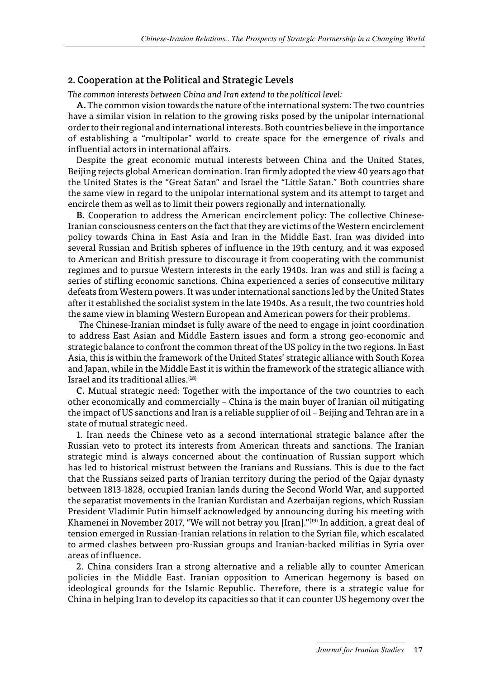#### 2. Cooperation at the Political and Strategic Levels

*The common interests between China and Iran extend to the political level:*

A. The common vision towards the nature of the international system: The two countries have a similar vision in relation to the growing risks posed by the unipolar international order to their regional and international interests. Both countries believe in the importance of establishing a "multipolar" world to create space for the emergence of rivals and influential actors in international affairs.

Despite the great economic mutual interests between China and the United States, Beijing rejects global American domination. Iran firmly adopted the view 40 years ago that the United States is the "Great Satan" and Israel the "Little Satan." Both countries share the same view in regard to the unipolar international system and its attempt to target and encircle them as well as to limit their powers regionally and internationally.

B. Cooperation to address the American encirclement policy: The collective Chinese-Iranian consciousness centers on the fact that they are victims of the Western encirclement policy towards China in East Asia and Iran in the Middle East. Iran was divided into several Russian and British spheres of influence in the 19th century, and it was exposed to American and British pressure to discourage it from cooperating with the communist regimes and to pursue Western interests in the early 1940s. Iran was and still is facing a series of stifling economic sanctions. China experienced a series of consecutive military defeats from Western powers. It was under international sanctions led by the United States after it established the socialist system in the late 1940s. As a result, the two countries hold the same view in blaming Western European and American powers for their problems.

 The Chinese-Iranian mindset is fully aware of the need to engage in joint coordination to address East Asian and Middle Eastern issues and form a strong geo-economic and strategic balance to confront the common threat of the US policy in the two regions. In East Asia, this is within the framework of the United States' strategic alliance with South Korea and Japan, while in the Middle East it is within the framework of the strategic alliance with Israel and its traditional allies.<sup>(18)</sup>

C. Mutual strategic need: Together with the importance of the two countries to each other economically and commercially – China is the main buyer of Iranian oil mitigating the impact of US sanctions and Iran is a reliable supplier of oil – Beijing and Tehran are in a state of mutual strategic need.

1. Iran needs the Chinese veto as a second international strategic balance after the Russian veto to protect its interests from American threats and sanctions. The Iranian strategic mind is always concerned about the continuation of Russian support which has led to historical mistrust between the Iranians and Russians. This is due to the fact that the Russians seized parts of Iranian territory during the period of the Qajar dynasty between 1813-1828, occupied Iranian lands during the Second World War, and supported the separatist movements in the Iranian Kurdistan and Azerbaijan regions, which Russian President Vladimir Putin himself acknowledged by announcing during his meeting with Khamenei in November 2017, "We will not betray you [Iran]."(19) In addition, a great deal of tension emerged in Russian-Iranian relations in relation to the Syrian file, which escalated to armed clashes between pro-Russian groups and Iranian-backed militias in Syria over areas of influence.

2. China considers Iran a strong alternative and a reliable ally to counter American policies in the Middle East. Iranian opposition to American hegemony is based on ideological grounds for the Islamic Republic. Therefore, there is a strategic value for China in helping Iran to develop its capacities so that it can counter US hegemony over the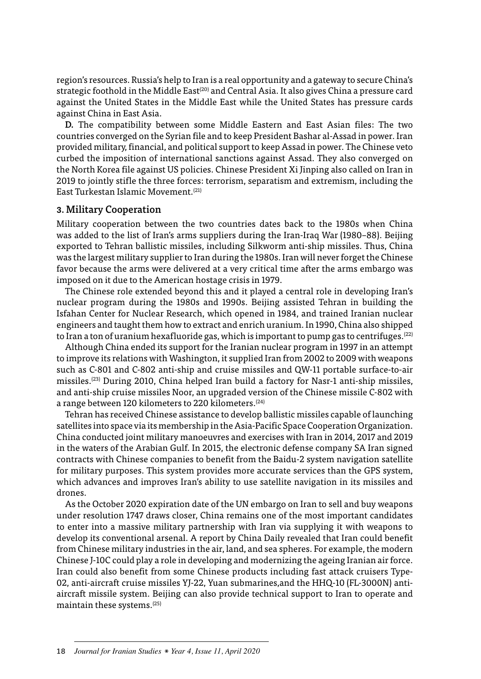region's resources. Russia's help to Iran is a real opportunity and a gateway to secure China's strategic foothold in the Middle East<sup>(20)</sup> and Central Asia. It also gives China a pressure card against the United States in the Middle East while the United States has pressure cards against China in East Asia.

D. The compatibility between some Middle Eastern and East Asian files: The two countries converged on the Syrian file and to keep President Bashar al-Assad in power. Iran provided military, financial, and political support to keep Assad in power. The Chinese veto curbed the imposition of international sanctions against Assad. They also converged on the North Korea file against US policies. Chinese President Xi Jinping also called on Iran in 2019 to jointly stifle the three forces: terrorism, separatism and extremism, including the East Turkestan Islamic Movement.(21)

#### 3. Military Cooperation

Military cooperation between the two countries dates back to the 1980s when China was added to the list of Iran's arms suppliers during the Iran-Iraq War (1980–88). Beijing exported to Tehran ballistic missiles, including Silkworm anti-ship missiles. Thus, China was the largest military supplier to Iran during the 1980s. Iran will never forget the Chinese favor because the arms were delivered at a very critical time after the arms embargo was imposed on it due to the American hostage crisis in 1979.

The Chinese role extended beyond this and it played a central role in developing Iran's nuclear program during the 1980s and 1990s. Beijing assisted Tehran in building the Isfahan Center for Nuclear Research, which opened in 1984, and trained Iranian nuclear engineers and taught them how to extract and enrich uranium. In 1990, China also shipped to Iran a ton of uranium hexafluoride gas, which is important to pump gas to centrifuges.<sup>[22]</sup>

Although China ended its support for the Iranian nuclear program in 1997 in an attempt to improve its relations with Washington, it supplied Iran from 2002 to 2009 with weapons such as C-801 and C-802 anti-ship and cruise missiles and QW-11 portable surface-to-air missiles.(23) During 2010, China helped Iran build a factory for Nasr-1 anti-ship missiles, and anti-ship cruise missiles Noor, an upgraded version of the Chinese missile C-802 with a range between 120 kilometers to 220 kilometers.<sup>(24)</sup>

Tehran has received Chinese assistance to develop ballistic missiles capable of launching satellites into space via its membership in the Asia-Pacific Space Cooperation Organization. China conducted joint military manoeuvres and exercises with Iran in 2014, 2017 and 2019 in the waters of the Arabian Gulf. In 2015, the electronic defense company SA Iran signed contracts with Chinese companies to benefit from the Baidu-2 system navigation satellite for military purposes. This system provides more accurate services than the GPS system, which advances and improves Iran's ability to use satellite navigation in its missiles and drones.

As the October 2020 expiration date of the UN embargo on Iran to sell and buy weapons under resolution 1747 draws closer, China remains one of the most important candidates to enter into a massive military partnership with Iran via supplying it with weapons to develop its conventional arsenal. A report by China Daily revealed that Iran could benefit from Chinese military industries in the air, land, and sea spheres. For example, the modern Chinese J-10C could play a role in developing and modernizing the ageing Iranian air force. Iran could also benefit from some Chinese products including fast attack cruisers Type-02, anti-aircraft cruise missiles YJ-22, Yuan submarines,and the HHQ-10 (FL-3000N) antiaircraft missile system. Beijing can also provide technical support to Iran to operate and maintain these systems.(25)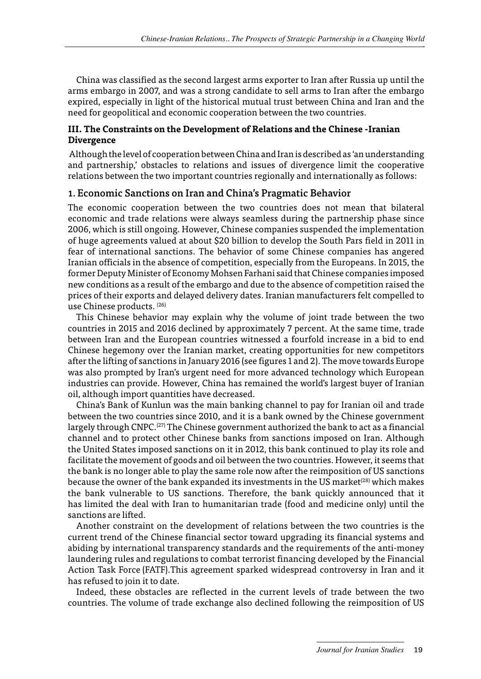<span id="page-15-0"></span>China was classified as the second largest arms exporter to Iran after Russia up until the arms embargo in 2007, and was a strong candidate to sell arms to Iran after the embargo expired, especially in light of the historical mutual trust between China and Iran and the need for geopolitical and economic cooperation between the two countries.

#### **III. The Constraints on the Development of Relations and the Chinese -Iranian Divergence**

 Although the level of cooperation between China and Iran is described as 'an understanding and partnership,' obstacles to relations and issues of divergence limit the cooperative relations between the two important countries regionally and internationally as follows:

#### 1. Economic Sanctions on Iran and China's Pragmatic Behavior

The economic cooperation between the two countries does not mean that bilateral economic and trade relations were always seamless during the partnership phase since 2006, which is still ongoing. However, Chinese companies suspended the implementation of huge agreements valued at about \$20 billion to develop the South Pars field in 2011 in fear of international sanctions. The behavior of some Chinese companies has angered Iranian officials in the absence of competition, especially from the Europeans. In 2015, the former Deputy Minister of Economy Mohsen Farhani said that Chinese companies imposed new conditions as a result of the embargo and due to the absence of competition raised the prices of their exports and delayed delivery dates. Iranian manufacturers felt compelled to use Chinese products. (26)

This Chinese behavior may explain why the volume of joint trade between the two countries in 2015 and 2016 declined by approximately 7 percent. At the same time, trade between Iran and the European countries witnessed a fourfold increase in a bid to end Chinese hegemony over the Iranian market, creating opportunities for new competitors after the lifting of sanctions in January 2016 (see figures 1 and 2). The move towards Europe was also prompted by Iran's urgent need for more advanced technology which European industries can provide. However, China has remained the world's largest buyer of Iranian oil, although import quantities have decreased.

China's Bank of Kunlun was the main banking channel to pay for Iranian oil and trade between the two countries since 2010, and it is a bank owned by the Chinese government largely through  $CNPC<sub>1</sub><sup>(27)</sup>$  The Chinese government authorized the bank to act as a financial channel and to protect other Chinese banks from sanctions imposed on Iran. Although the United States imposed sanctions on it in 2012, this bank continued to play its role and facilitate the movement of goods and oil between the two countries. However, it seems that the bank is no longer able to play the same role now after the reimposition of US sanctions because the owner of the bank expanded its investments in the US market<sup>(28)</sup> which makes the bank vulnerable to US sanctions. Therefore, the bank quickly announced that it has limited the deal with Iran to humanitarian trade (food and medicine only) until the sanctions are lifted.

Another constraint on the development of relations between the two countries is the current trend of the Chinese financial sector toward upgrading its financial systems and abiding by international transparency standards and the requirements of the anti-money laundering rules and regulations to combat terrorist financing developed by the Financial Action Task Force (FATF).This agreement sparked widespread controversy in Iran and it has refused to join it to date.

Indeed, these obstacles are reflected in the current levels of trade between the two countries. The volume of trade exchange also declined following the reimposition of US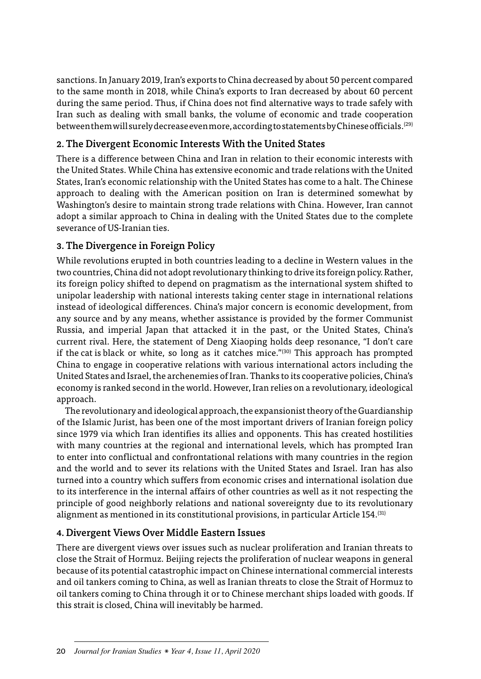sanctions. In January 2019, Iran's exports to China decreased by about 50 percent compared to the same month in 2018, while China's exports to Iran decreased by about 60 percent during the same period. Thus, if China does not find alternative ways to trade safely with Iran such as dealing with small banks, the volume of economic and trade cooperation between them will surely decrease even more, according to statements by Chinese officials.(29)

#### 2. The Divergent Economic Interests With the United States

There is a difference between China and Iran in relation to their economic interests with the United States. While China has extensive economic and trade relations with the United States, Iran's economic relationship with the United States has come to a halt. The Chinese approach to dealing with the American position on Iran is determined somewhat by Washington's desire to maintain strong trade relations with China. However, Iran cannot adopt a similar approach to China in dealing with the United States due to the complete severance of US-Iranian ties.

#### 3. The Divergence in Foreign Policy

While revolutions erupted in both countries leading to a decline in Western values in the two countries, China did not adopt revolutionary thinking to drive its foreign policy. Rather, its foreign policy shifted to depend on pragmatism as the international system shifted to unipolar leadership with national interests taking center stage in international relations instead of ideological differences. China's major concern is economic development, from any source and by any means, whether assistance is provided by the former Communist Russia, and imperial Japan that attacked it in the past, or the United States, China's current rival. Here, the statement of Deng Xiaoping holds deep resonance, "I don't care if the cat is black or white, so long as it catches mice." $(30)$  This approach has prompted China to engage in cooperative relations with various international actors including the United States and Israel, the archenemies of Iran. Thanks to its cooperative policies, China's economy is ranked second in the world. However, Iran relies on a revolutionary, ideological approach.

The revolutionary and ideological approach, the expansionist theory of the Guardianship of the Islamic Jurist, has been one of the most important drivers of Iranian foreign policy since 1979 via which Iran identifies its allies and opponents. This has created hostilities with many countries at the regional and international levels, which has prompted Iran to enter into conflictual and confrontational relations with many countries in the region and the world and to sever its relations with the United States and Israel. Iran has also turned into a country which suffers from economic crises and international isolation due to its interference in the internal affairs of other countries as well as it not respecting the principle of good neighborly relations and national sovereignty due to its revolutionary alignment as mentioned in its constitutional provisions, in particular Article 154.<sup>(31)</sup>

#### 4. Divergent Views Over Middle Eastern Issues

There are divergent views over issues such as nuclear proliferation and Iranian threats to close the Strait of Hormuz. Beijing rejects the proliferation of nuclear weapons in general because of its potential catastrophic impact on Chinese international commercial interests and oil tankers coming to China, as well as Iranian threats to close the Strait of Hormuz to oil tankers coming to China through it or to Chinese merchant ships loaded with goods. If this strait is closed, China will inevitably be harmed.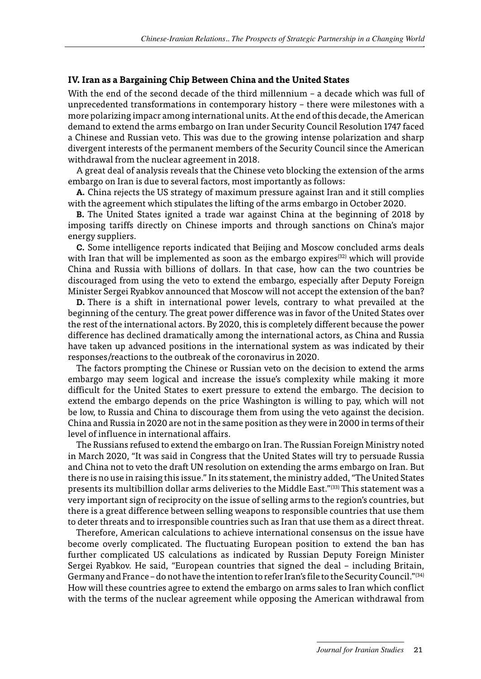#### <span id="page-17-0"></span>**IV. Iran as a Bargaining Chip Between China and the United States**

With the end of the second decade of the third millennium – a decade which was full of unprecedented transformations in contemporary history – there were milestones with a more polarizing impacr among international units. At the end of this decade, the American demand to extend the arms embargo on Iran under Security Council Resolution 1747 faced a Chinese and Russian veto. This was due to the growing intense polarization and sharp divergent interests of the permanent members of the Security Council since the American withdrawal from the nuclear agreement in 2018.

A great deal of analysis reveals that the Chinese veto blocking the extension of the arms embargo on Iran is due to several factors, most importantly as follows:

A. China rejects the US strategy of maximum pressure against Iran and it still complies with the agreement which stipulates the lifting of the arms embargo in October 2020.

B. The United States ignited a trade war against China at the beginning of 2018 by imposing tariffs directly on Chinese imports and through sanctions on China's major energy suppliers.

C. Some intelligence reports indicated that Beijing and Moscow concluded arms deals with Iran that will be implemented as soon as the embargo expires<sup>(32)</sup> which will provide China and Russia with billions of dollars. In that case, how can the two countries be discouraged from using the veto to extend the embargo, especially after Deputy Foreign Minister Sergei Ryabkov announced that Moscow will not accept the extension of the ban?

D. There is a shift in international power levels, contrary to what prevailed at the beginning of the century. The great power difference was in favor of the United States over the rest of the international actors. By 2020, this is completely different because the power difference has declined dramatically among the international actors, as China and Russia have taken up advanced positions in the international system as was indicated by their responses/reactions to the outbreak of the coronavirus in 2020.

The factors prompting the Chinese or Russian veto on the decision to extend the arms embargo may seem logical and increase the issue's complexity while making it more difficult for the United States to exert pressure to extend the embargo. The decision to extend the embargo depends on the price Washington is willing to pay, which will not be low, to Russia and China to discourage them from using the veto against the decision. China and Russia in 2020 are not in the same position as they were in 2000 in terms of their level of influence in international affairs.

The Russians refused to extend the embargo on Iran. The Russian Foreign Ministry noted in March 2020, "It was said in Congress that the United States will try to persuade Russia and China not to veto the draft UN resolution on extending the arms embargo on Iran. But there is no use in raising this issue." In its statement, the ministry added, "The United States presents its multibillion dollar arms deliveries to the Middle East."(33) This statement was a very important sign of reciprocity on the issue of selling arms to the region's countries, but there is a great difference between selling weapons to responsible countries that use them to deter threats and to irresponsible countries such as Iran that use them as a direct threat.

Therefore, American calculations to achieve international consensus on the issue have become overly complicated. The fluctuating European position to extend the ban has further complicated US calculations as indicated by Russian Deputy Foreign Minister Sergei Ryabkov. He said, "European countries that signed the deal – including Britain, Germany and France – do not have the intention to refer Iran's file to the Security Council."(34) How will these countries agree to extend the embargo on arms sales to Iran which conflict with the terms of the nuclear agreement while opposing the American withdrawal from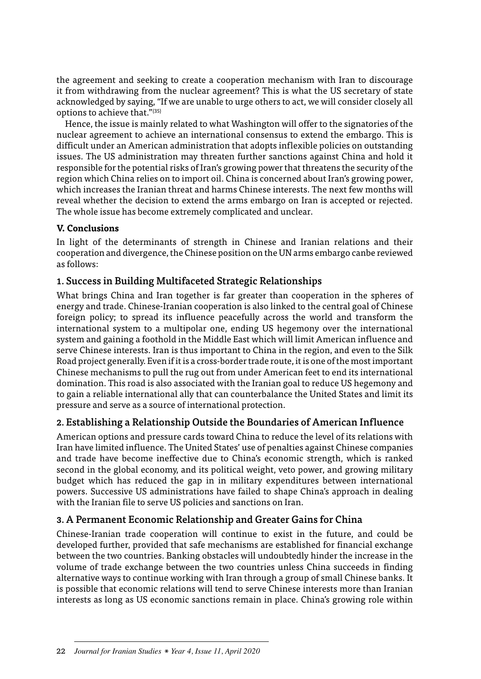<span id="page-18-0"></span>the agreement and seeking to create a cooperation mechanism with Iran to discourage it from withdrawing from the nuclear agreement? This is what the US secretary of state acknowledged by saying, "If we are unable to urge others to act, we will consider closely all options to achieve that."(35)

Hence, the issue is mainly related to what Washington will offer to the signatories of the nuclear agreement to achieve an international consensus to extend the embargo. This is difficult under an American administration that adopts inflexible policies on outstanding issues. The US administration may threaten further sanctions against China and hold it responsible for the potential risks of Iran's growing power that threatens the security of the region which China relies on to import oil. China is concerned about Iran's growing power, which increases the Iranian threat and harms Chinese interests. The next few months will reveal whether the decision to extend the arms embargo on Iran is accepted or rejected. The whole issue has become extremely complicated and unclear.

#### **V. Conclusions**

In light of the determinants of strength in Chinese and Iranian relations and their cooperation and divergence, the Chinese position on the UN arms embargo canbe reviewed as follows:

#### 1. Success in Building Multifaceted Strategic Relationships

What brings China and Iran together is far greater than cooperation in the spheres of energy and trade. Chinese-Iranian cooperation is also linked to the central goal of Chinese foreign policy; to spread its influence peacefully across the world and transform the international system to a multipolar one, ending US hegemony over the international system and gaining a foothold in the Middle East which will limit American influence and serve Chinese interests. Iran is thus important to China in the region, and even to the Silk Road project generally. Even if it is a cross-border trade route, it is one of the most important Chinese mechanisms to pull the rug out from under American feet to end its international domination. This road is also associated with the Iranian goal to reduce US hegemony and to gain a reliable international ally that can counterbalance the United States and limit its pressure and serve as a source of international protection.

#### 2. Establishing a Relationship Outside the Boundaries of American Influence

American options and pressure cards toward China to reduce the level of its relations with Iran have limited influence. The United States' use of penalties against Chinese companies and trade have become ineffective due to China's economic strength, which is ranked second in the global economy, and its political weight, veto power, and growing military budget which has reduced the gap in in military expenditures between international powers. Successive US administrations have failed to shape China's approach in dealing with the Iranian file to serve US policies and sanctions on Iran.

#### 3. A Permanent Economic Relationship and Greater Gains for China

Chinese-Iranian trade cooperation will continue to exist in the future, and could be developed further, provided that safe mechanisms are established for financial exchange between the two countries. Banking obstacles will undoubtedly hinder the increase in the volume of trade exchange between the two countries unless China succeeds in finding alternative ways to continue working with Iran through a group of small Chinese banks. It is possible that economic relations will tend to serve Chinese interests more than Iranian interests as long as US economic sanctions remain in place. China's growing role within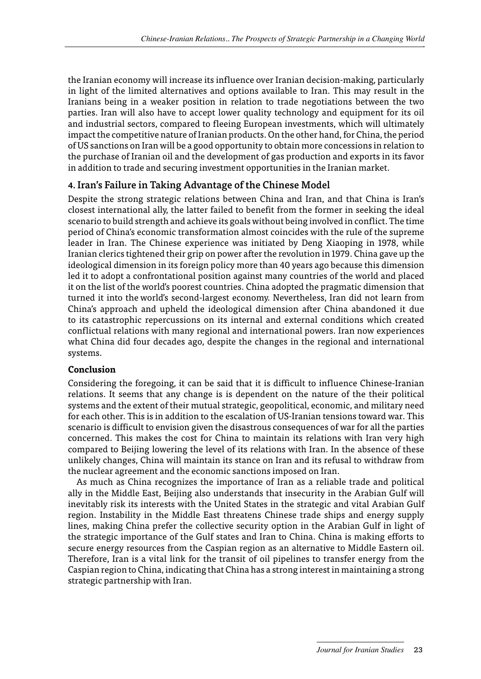<span id="page-19-0"></span>the Iranian economy will increase its influence over Iranian decision-making, particularly in light of the limited alternatives and options available to Iran. This may result in the Iranians being in a weaker position in relation to trade negotiations between the two parties. Iran will also have to accept lower quality technology and equipment for its oil and industrial sectors, compared to fleeing European investments, which will ultimately impact the competitive nature of Iranian products. On the other hand, for China, the period of US sanctions on Iran will be a good opportunity to obtain more concessions in relation to the purchase of Iranian oil and the development of gas production and exports in its favor in addition to trade and securing investment opportunities in the Iranian market.

#### 4. Iran's Failure in Taking Advantage of the Chinese Model

Despite the strong strategic relations between China and Iran, and that China is Iran's closest international ally, the latter failed to benefit from the former in seeking the ideal scenario to build strength and achieve its goals without being involved in conflict. The time period of China's economic transformation almost coincides with the rule of the supreme leader in Iran. The Chinese experience was initiated by Deng Xiaoping in 1978, while Iranian clerics tightened their grip on power after the revolution in 1979. China gave up the ideological dimension in its foreign policy more than 40 years ago because this dimension led it to adopt a confrontational position against many countries of the world and placed it on the list of the world's poorest countries. China adopted the pragmatic dimension that turned it into the world's second-largest economy. Nevertheless, Iran did not learn from China's approach and upheld the ideological dimension after China abandoned it due to its catastrophic repercussions on its internal and external conditions which created conflictual relations with many regional and international powers. Iran now experiences what China did four decades ago, despite the changes in the regional and international systems.

#### **Conclusion**

Considering the foregoing, it can be said that it is difficult to influence Chinese-Iranian relations. It seems that any change is is dependent on the nature of the their political systems and the extent of their mutual strategic, geopolitical, economic, and military need for each other. This is in addition to the escalation of US-Iranian tensions toward war. This scenario is difficult to envision given the disastrous consequences of war for all the parties concerned. This makes the cost for China to maintain its relations with Iran very high compared to Beijing lowering the level of its relations with Iran. In the absence of these unlikely changes, China will maintain its stance on Iran and its refusal to withdraw from the nuclear agreement and the economic sanctions imposed on Iran.

As much as China recognizes the importance of Iran as a reliable trade and political ally in the Middle East, Beijing also understands that insecurity in the Arabian Gulf will inevitably risk its interests with the United States in the strategic and vital Arabian Gulf region. Instability in the Middle East threatens Chinese trade ships and energy supply lines, making China prefer the collective security option in the Arabian Gulf in light of the strategic importance of the Gulf states and Iran to China. China is making efforts to secure energy resources from the Caspian region as an alternative to Middle Eastern oil. Therefore, Iran is a vital link for the transit of oil pipelines to transfer energy from the Caspian region to China, indicating that China has a strong interest in maintaining a strong strategic partnership with Iran.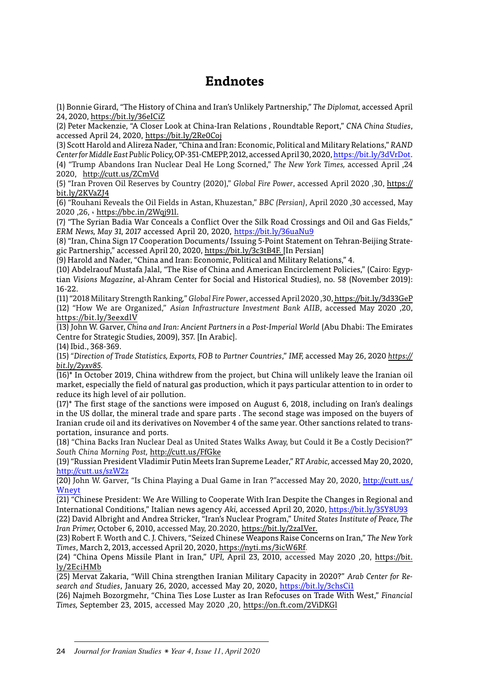### **Endnotes**

(1) Bonnie Girard, "The History of China and Iran's Unlikely Partnership," *The Diplomat,* accessed April 24, 2020, https://bit.ly/36eICiZ

(2) Peter Mackenzie, "A Closer Look at China-Iran Relations , Roundtable Report," *CNA China Studies*, accessed April 24, 2020, https://bit.ly/2Re0Coj

(3) Scott Harold and Alireza Nader, "China and Iran: Economic, Political and Military Relations," *RAND Center for Middle East Public* Policy, OP-351-CMEPP, 2012, accessed April 30, 2020, https://bit.ly/3dVrDot. (4) "Trump Abandons Iran Nuclear Deal He Long Scorned," *The New York Times,* accessed April ,24 2020, http://cutt.us/ZCmVd

(5) "Iran Proven Oil Reserves by Country (2020)," *Global Fire Power*, accessed April 2020 ,30, https:// bit.ly/2KVaZJ4

(6) "Rouhani Reveals the Oil Fields in Astan, Khuzestan," *BBC (Persian)*, April 2020 ,30 accessed, May 2020 ,26, ، https://bbc.in/2Wqj91l.

(7) "The Syrian Badia War Conceals a Conflict Over the Silk Road Crossings and Oil and Gas Fields," *ERM News, May 31, 2017* accessed April 20, 2020, https://bit.ly/36uaNu9

(8) "Iran, China Sign 17 Cooperation Documents/ Issuing 5-Point Statement on Tehran-Beijing Strategic Partnership," accessed April 20, 2020, https://bit.ly/3c3tB4F. [In Persian]

(9) Harold and Nader, "China and Iran: Economic, Political and Military Relations," 4.

(10) Abdelraouf Mustafa Jalal, "The Rise of China and American Encirclement Policies," (Cairo: Egyptian *Visions Magazine*, al-Ahram Center for Social and Historical Studies), no. 58 (November 2019): 16-22.

(11) "2018 Military Strength Ranking*,*" *Global Fire Power*, accessed April 2020 ,30, https://bit.ly/3d33GeP (12) "How We are Organized," *Asian Infrastructure Investment Bank AIIB*, accessed May 2020 ,20, https://bit.ly/3eexdlV

(13) John W. Garver, *China and Iran: Ancient Partners in a Post-Imperial World* (Abu Dhabi: The Emirates Centre for Strategic Studies, 2009), 357. [In Arabic].

(14) Ibid., 368-369.

(15) *"Direction of Trade Statistics, Exports, FOB to Partner Countries*," *IMF,* accessed May 26, 2020 *https:// bit.ly/2yxv85.*

(16)\* In October 2019, China withdrew from the project, but China will unlikely leave the Iranian oil market, especially the field of natural gas production, which it pays particular attention to in order to reduce its high level of air pollution.

 $(17)^*$  The first stage of the sanctions were imposed on August 6, 2018, including on Iran's dealings in the US dollar, the mineral trade and spare parts . The second stage was imposed on the buyers of Iranian crude oil and its derivatives on November 4 of the same year. Other sanctions related to transportation, insurance and ports.

(18) "China Backs Iran Nuclear Deal as United States Walks Away, but Could it Be a Costly Decision?" *South China Morning Post,* http://cutt.us/FfGke

(19) "Russian President Vladimir Putin Meets Iran Supreme Leader," *RT Arabic,* accessed May 20, 2020, http://cutt.us/szW2z

(20) John W. Garver, "Is China Playing a Dual Game in Iran ?"accessed May 20, 2020, http://cutt.us/ **Wneyt** 

(21) "Chinese President: We Are Willing to Cooperate With Iran Despite the Changes in Regional and International Conditions," Italian news agency *Aki,* accessed April 20, 2020, https://bit.ly/35Y8U93

(22) David Albright and Andrea Stricker, "Iran's Nuclear Program," *United States Institute of Peace, The Iran Primer,* October 6, 2010, accessed May, 20.2020, https://bit.ly/2zaIVer.

(23) Robert F. Worth and C. J. Chivers, "Seized Chinese Weapons Raise Concerns on Iran," *The New York Times*, March 2, 2013, accessed April 20, 2020, https://nyti.ms/3icW6Rf.

(24) "China Opens Missile Plant in Iran," *UPI,* April 23, 2010, accessed May 2020 ,20, https://bit. ly/2EciHMb

(25) Mervat Zakaria, "Will China strengthen Iranian Military Capacity in 2020?" *Arab Center for Research and Studies*, January 26, 2020, accessed May 20, 2020, https://bit.ly/3chsCi1

(26) Najmeh Bozorgmehr, "China Ties Lose Luster as Iran Refocuses on Trade With West," *Financial Times,* September 23, 2015, accessed May 2020 ,20, https://on.ft.com/2ViDKGl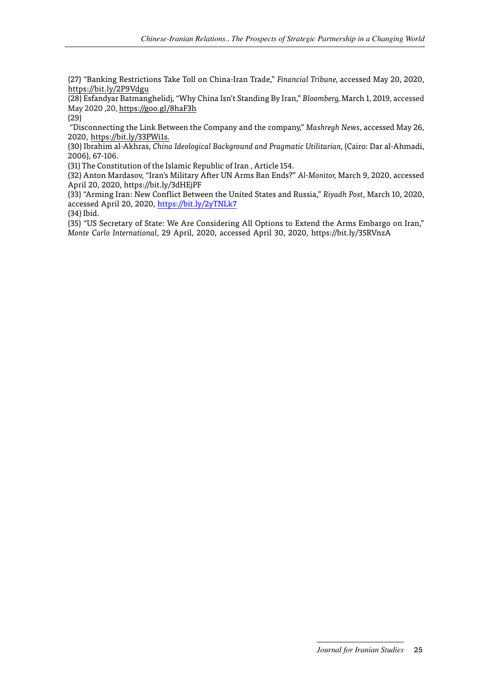(27) "Banking Restrictions Take Toll on China-Iran Trade," *Financial Tribune,* accessed May 20, 2020, https://bit.ly/2P9Vdgu

(28) Esfandyar Batmanghelidj, "Why China Isn't Standing By Iran," *Bloomberg,* March 1, 2019, accessed May 2020 ,20, https://goo.gl/8haF3h

(29)

 "Disconnecting the Link Between the Company and the company," *Mashregh News*, accessed May 26, 2020, https://bit.ly/33PWi1s.

(30) Ibrahim al-Akhras, *China Ideological Background and Pragmatic Utilitarian,* (Cairo: Dar al-Ahmadi, 2006), 67-106.

(31) The Constitution of the Islamic Republic of Iran , Article 154.

(32) Anton Mardasov, "Iran's Military After UN Arms Ban Ends?" *Al-Monitor,* March 9, 2020, accessed April 20, 2020, https://bit.ly/3dHEjPF

(33) "Arming Iran: New Conflict Between the United States and Russia," *Riyadh Post*, March 10, 2020, accessed April 20, 2020, https://bit.ly/2yTNLk7

(34) Ibid.

(35) "US Secretary of State: We Are Considering All Options to Extend the Arms Embargo on Iran," *Monte Carlo International*, 29 April, 2020, accessed April 30, 2020, https://bit.ly/35RVnzA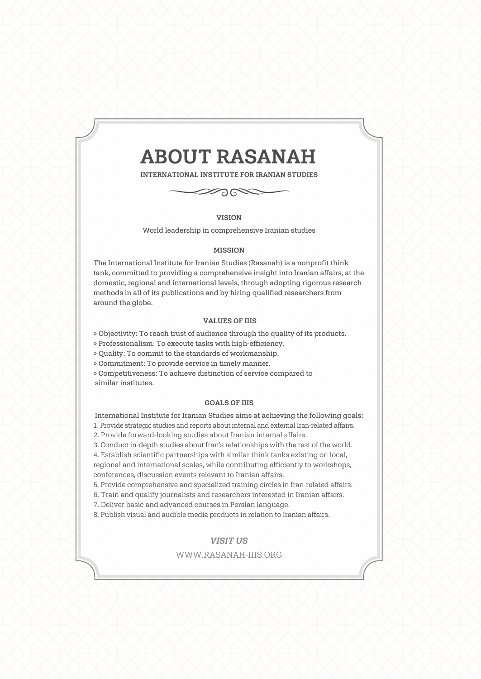# ABOUT RASANAH

INTERNATIONAL INSTITUTE FOR IRANIAN STUDIES



VISION World leadership in comprehensive Iranian studies

#### MISSION

The International Institute for Iranian Studies (Rasanah) is a nonprofit think tank, committed to providing a comprehensive insight into Iranian affairs, at the domestic, regional and international levels, through adopting rigorous research methods in all of its publications and by hiring qualified researchers from around the globe.

#### VALUES OF IIIS

» Objectivity: To reach trust of audience through the quality of its products.

» Professionalism: To execute tasks with high-efficiency.

» Quality: To commit to the standards of workmanship.

» Commitment: To provide service in timely manner.

» Competitiveness: To achieve distinction of service compared to similar institutes.

#### GOALS OF IIIS

International Institute for Iranian Studies aims at achieving the following goals: 1. Provide strategic studies and reports about internal and external Iran-related affairs.

2. Provide forward-looking studies about Iranian internal affairs.

3. Conduct in-depth studies about Iran's relationships with the rest of the world.

4. Establish scientific partnerships with similar think tanks existing on local, regional and international scales, while contributing efficiently to workshops, conferences, discussion events relevant to Iranian affairs.

5. Provide comprehensive and specialized training circles in Iran-related affairs.

6. Train and qualify journalists and researchers interested in Iranian affairs.

7. Deliver basic and advanced courses in Persian language.

8. Publish visual and audible media products in relation to Iranian affairs.

#### *VISIT US*

#### WWW.RASANAH-IIIS.ORG